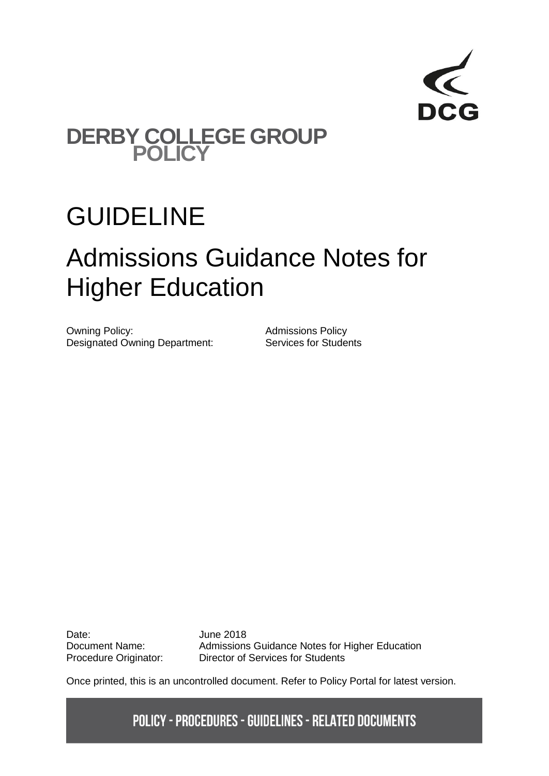

### **DERBY COLLEGE GROUP POLICY**

## GUIDELINE

# Admissions Guidance Notes for Higher Education

Owning Policy:<br>
Designated Owning Department:<br>
Services for Students Designated Owning Department:

Date: June 2018

Document Name: Admissions Guidance Notes for Higher Education Procedure Originator: Director of Services for Students

Once printed, this is an uncontrolled document. Refer to Policy Portal for latest version.

**POLICY - PROCEDURES - GUIDELINES - RELATED DOCUMENTS**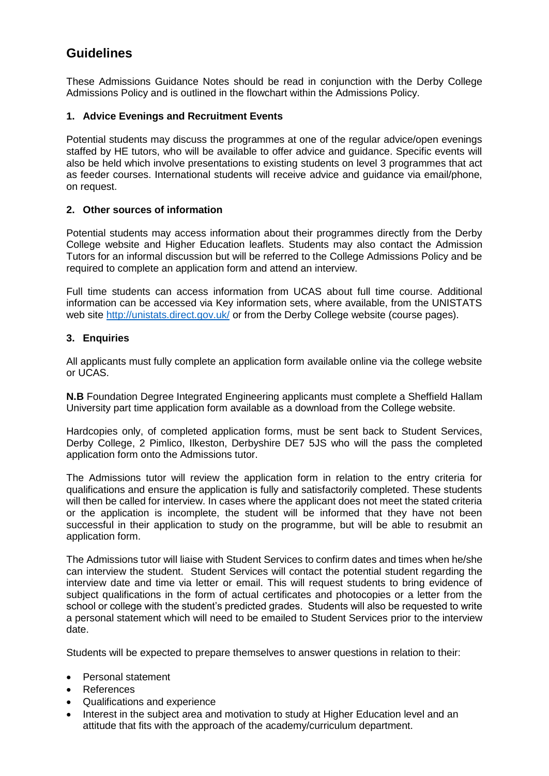### **Guidelines**

These Admissions Guidance Notes should be read in conjunction with the Derby College Admissions Policy and is outlined in the flowchart within the Admissions Policy.

#### **1. Advice Evenings and Recruitment Events**

Potential students may discuss the programmes at one of the regular advice/open evenings staffed by HE tutors, who will be available to offer advice and guidance. Specific events will also be held which involve presentations to existing students on level 3 programmes that act as feeder courses. International students will receive advice and guidance via email/phone, on request.

#### **2. Other sources of information**

Potential students may access information about their programmes directly from the Derby College website and Higher Education leaflets. Students may also contact the Admission Tutors for an informal discussion but will be referred to the College Admissions Policy and be required to complete an application form and attend an interview.

Full time students can access information from UCAS about full time course. Additional information can be accessed via Key information sets, where available, from the UNISTATS web site<http://unistats.direct.gov.uk/> or from the Derby College website (course pages).

#### **3. Enquiries**

All applicants must fully complete an application form available online via the college website or UCAS.

**N.B** Foundation Degree Integrated Engineering applicants must complete a Sheffield Hallam University part time application form available as a download from the College website.

Hardcopies only, of completed application forms, must be sent back to Student Services, Derby College, 2 Pimlico, Ilkeston, Derbyshire DE7 5JS who will the pass the completed application form onto the Admissions tutor.

The Admissions tutor will review the application form in relation to the entry criteria for qualifications and ensure the application is fully and satisfactorily completed. These students will then be called for interview. In cases where the applicant does not meet the stated criteria or the application is incomplete, the student will be informed that they have not been successful in their application to study on the programme, but will be able to resubmit an application form.

The Admissions tutor will liaise with Student Services to confirm dates and times when he/she can interview the student. Student Services will contact the potential student regarding the interview date and time via letter or email. This will request students to bring evidence of subject qualifications in the form of actual certificates and photocopies or a letter from the school or college with the student's predicted grades. Students will also be requested to write a personal statement which will need to be emailed to Student Services prior to the interview date.

Students will be expected to prepare themselves to answer questions in relation to their:

- Personal statement
- References
- Qualifications and experience
- Interest in the subject area and motivation to study at Higher Education level and an attitude that fits with the approach of the academy/curriculum department.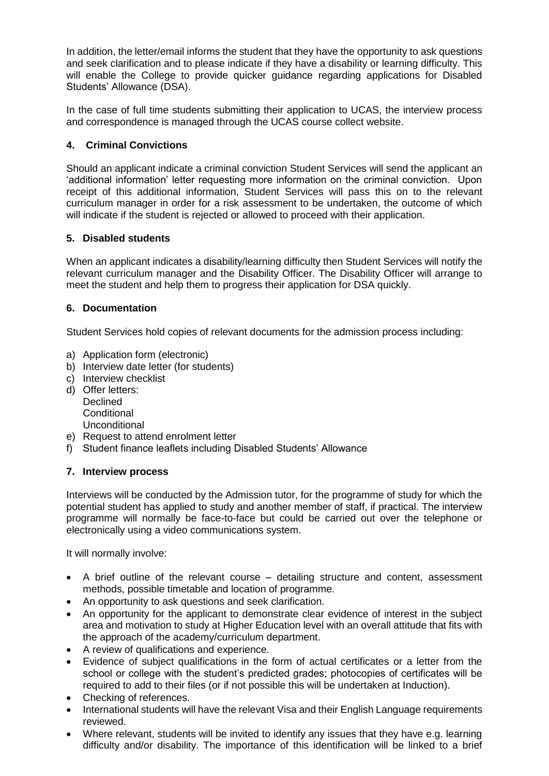In addition, the letter/email informs the student that they have the opportunity to ask questions and seek clarification and to please indicate if they have a disability or learning difficulty. This will enable the College to provide quicker guidance regarding applications for Disabled Students' Allowance (DSA).

In the case of full time students submitting their application to UCAS, the interview process and correspondence is managed through the UCAS course collect website.

#### **4. Criminal Convictions**

Should an applicant indicate a criminal conviction Student Services will send the applicant an 'additional information' letter requesting more information on the criminal conviction. Upon receipt of this additional information, Student Services will pass this on to the relevant curriculum manager in order for a risk assessment to be undertaken, the outcome of which will indicate if the student is rejected or allowed to proceed with their application.

#### **5. Disabled students**

When an applicant indicates a disability/learning difficulty then Student Services will notify the relevant curriculum manager and the Disability Officer. The Disability Officer will arrange to meet the student and help them to progress their application for DSA quickly.

#### **6. Documentation**

Student Services hold copies of relevant documents for the admission process including:

- a) Application form (electronic)
- b) Interview date letter (for students)
- c) Interview checklist
- d) Offer letters: **Declined Conditional** Unconditional
- e) Request to attend enrolment letter
- f) Student finance leaflets including Disabled Students' Allowance

#### **7. Interview process**

Interviews will be conducted by the Admission tutor, for the programme of study for which the potential student has applied to study and another member of staff, if practical. The interview programme will normally be face-to-face but could be carried out over the telephone or electronically using a video communications system.

It will normally involve:

- A brief outline of the relevant course detailing structure and content, assessment methods, possible timetable and location of programme.
- An opportunity to ask questions and seek clarification.
- An opportunity for the applicant to demonstrate clear evidence of interest in the subject area and motivation to study at Higher Education level with an overall attitude that fits with the approach of the academy/curriculum department.
- A review of qualifications and experience.
- Evidence of subject qualifications in the form of actual certificates or a letter from the school or college with the student's predicted grades; photocopies of certificates will be required to add to their files (or if not possible this will be undertaken at Induction).
- Checking of references.
- International students will have the relevant Visa and their English Language requirements reviewed.
- Where relevant, students will be invited to identify any issues that they have e.g. learning difficulty and/or disability. The importance of this identification will be linked to a brief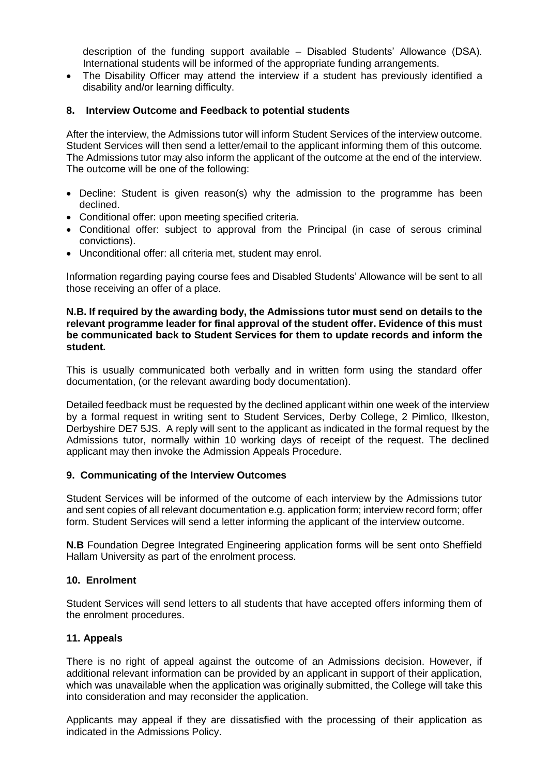description of the funding support available – Disabled Students' Allowance (DSA). International students will be informed of the appropriate funding arrangements.

• The Disability Officer may attend the interview if a student has previously identified a disability and/or learning difficulty.

#### **8. Interview Outcome and Feedback to potential students**

After the interview, the Admissions tutor will inform Student Services of the interview outcome. Student Services will then send a letter/email to the applicant informing them of this outcome. The Admissions tutor may also inform the applicant of the outcome at the end of the interview. The outcome will be one of the following:

- Decline: Student is given reason(s) why the admission to the programme has been declined.
- Conditional offer: upon meeting specified criteria.
- Conditional offer: subject to approval from the Principal (in case of serous criminal convictions).
- Unconditional offer: all criteria met, student may enrol.

Information regarding paying course fees and Disabled Students' Allowance will be sent to all those receiving an offer of a place.

#### **N.B. If required by the awarding body, the Admissions tutor must send on details to the relevant programme leader for final approval of the student offer. Evidence of this must be communicated back to Student Services for them to update records and inform the student.**

This is usually communicated both verbally and in written form using the standard offer documentation, (or the relevant awarding body documentation).

Detailed feedback must be requested by the declined applicant within one week of the interview by a formal request in writing sent to Student Services, Derby College, 2 Pimlico, Ilkeston, Derbyshire DE7 5JS. A reply will sent to the applicant as indicated in the formal request by the Admissions tutor, normally within 10 working days of receipt of the request. The declined applicant may then invoke the Admission Appeals Procedure.

#### **9. Communicating of the Interview Outcomes**

Student Services will be informed of the outcome of each interview by the Admissions tutor and sent copies of all relevant documentation e.g. application form; interview record form; offer form. Student Services will send a letter informing the applicant of the interview outcome.

**N.B** Foundation Degree Integrated Engineering application forms will be sent onto Sheffield Hallam University as part of the enrolment process.

#### **10. Enrolment**

Student Services will send letters to all students that have accepted offers informing them of the enrolment procedures.

#### **11. Appeals**

There is no right of appeal against the outcome of an Admissions decision. However, if additional relevant information can be provided by an applicant in support of their application, which was unavailable when the application was originally submitted, the College will take this into consideration and may reconsider the application.

Applicants may appeal if they are dissatisfied with the processing of their application as indicated in the Admissions Policy.